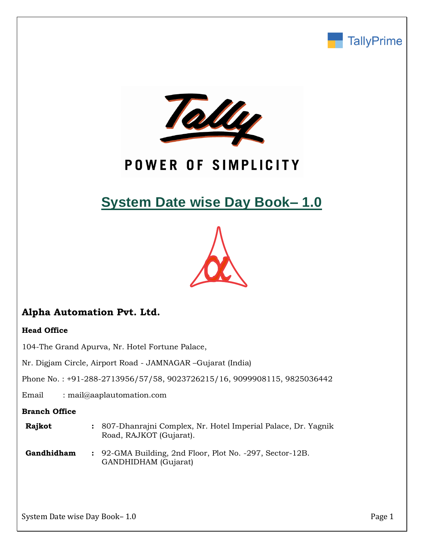



# POWER OF SIMPLICITY

# **System Date wise Day Book– 1.0**



# **Alpha Automation Pvt. Ltd.**

#### **Head Office**

104-The Grand Apurva, Nr. Hotel Fortune Palace,

Nr. Digjam Circle, Airport Road - JAMNAGAR –Gujarat (India)

Phone No. : +91-288-2713956/57/58, 9023726215/16, 9099908115, 9825036442

Email : mail@aaplautomation.com

#### **Branch Office**

| <b>Rajkot</b> | : 807-Dhanrajni Complex, Nr. Hotel Imperial Palace, Dr. Yagnik |
|---------------|----------------------------------------------------------------|
|               | Road, RAJKOT (Gujarat).                                        |

**Gandhidham :** 92-GMA Building, 2nd Floor, Plot No. -297, Sector-12B. GANDHIDHAM (Gujarat)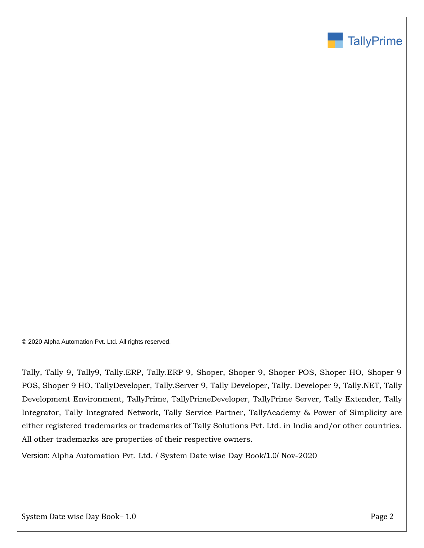

© 2020 Alpha Automation Pvt. Ltd. All rights reserved.

Tally, Tally 9, Tally9, Tally.ERP, Tally.ERP 9, Shoper, Shoper 9, Shoper POS, Shoper HO, Shoper 9 POS, Shoper 9 HO, TallyDeveloper, Tally.Server 9, Tally Developer, Tally. Developer 9, Tally.NET, Tally Development Environment, TallyPrime, TallyPrimeDeveloper, TallyPrime Server, Tally Extender, Tally Integrator, Tally Integrated Network, Tally Service Partner, TallyAcademy & Power of Simplicity are either registered trademarks or trademarks of Tally Solutions Pvt. Ltd. in India and/or other countries. All other trademarks are properties of their respective owners.

Version: Alpha Automation Pvt. Ltd. / System Date wise Day Book/1.0/ Nov-2020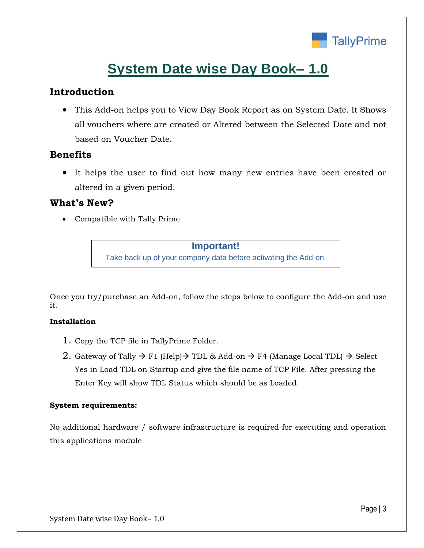

# **System Date wise Day Book– 1.0**

## **Introduction**

• This Add-on helps you to View Day Book Report as on System Date. It Shows all vouchers where are created or Altered between the Selected Date and not based on Voucher Date.

### **Benefits**

• It helps the user to find out how many new entries have been created or altered in a given period.

### **What's New?**

• Compatible with Tally Prime

#### **Important!**

Take back up of your company data before activating the Add-on.

Once you try/purchase an Add-on, follow the steps below to configure the Add-on and use it.

#### **Installation**

- 1. Copy the TCP file in TallyPrime Folder.
- 2. Gateway of Tally  $\rightarrow$  F1 (Help) $\rightarrow$  TDL & Add-on  $\rightarrow$  F4 (Manage Local TDL)  $\rightarrow$  Select Yes in Load TDL on Startup and give the file name of TCP File. After pressing the Enter Key will show TDL Status which should be as Loaded.

#### **System requirements:**

No additional hardware / software infrastructure is required for executing and operation this applications module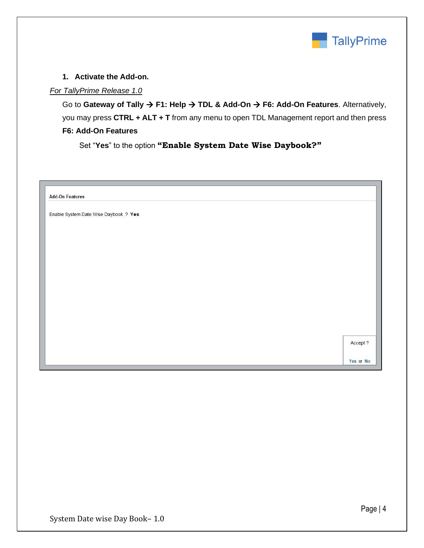

#### **1. Activate the Add-on.**

#### *For TallyPrime Release 1.0*

Go to **Gateway of Tally** → **F1: Help** → **TDL & Add-On** → **F6: Add-On Features**. Alternatively, you may press **CTRL + ALT + T** from any menu to open TDL Management report and then press **F6: Add-On Features**

Set "**Yes**" to the option **"Enable System Date Wise Daybook?"**

| <b>Add-On Features</b>                |          |
|---------------------------------------|----------|
| Enable System Date Wise Daybook ? Yes |          |
|                                       |          |
|                                       |          |
|                                       |          |
|                                       |          |
|                                       |          |
|                                       |          |
|                                       |          |
|                                       |          |
|                                       |          |
|                                       | Accept ? |
|                                       |          |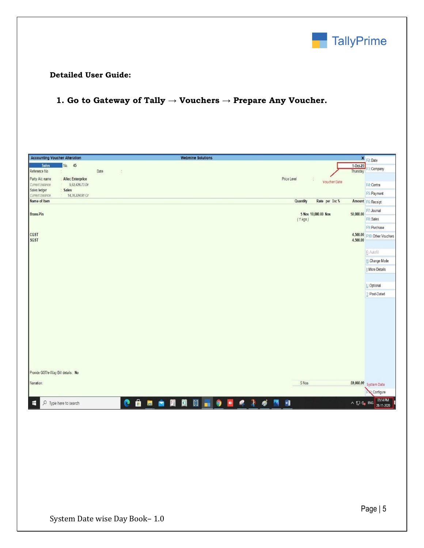

#### **Detailed User Guide:**

# **1. Go to Gateway of Tally → Vouchers → Prepare Any Voucher.**

| <b>Accounting Voucher Alteration</b>                              | <b>Webmine Solutions</b>                                                             | × F2:Date                                        |
|-------------------------------------------------------------------|--------------------------------------------------------------------------------------|--------------------------------------------------|
| No. 45<br><b>Sales</b>                                            |                                                                                      | $1.0ct-20$<br>F3: Company                        |
| Reference No                                                      | Date<br>$\hat{\cdot}$                                                                | Thursday                                         |
| Party A/c name<br>: Allec Enterprice                              | Price Level<br>$\mathcal{L}_{\mathcal{L}}$<br>Voucher Date                           |                                                  |
| Current balance<br>9,92,426.73 Dr<br>Sales ledger<br><b>Sales</b> |                                                                                      | F4: Contra                                       |
| 14,36,224.91 Cr<br>Current balance                                |                                                                                      | F5: Payment                                      |
| Name of Item                                                      | Quantity<br>Rate per Disc %                                                          | Amount F6: Receipt                               |
| <b>Brass-Pin</b>                                                  | 5 Nos 10,000.00 Nos                                                                  | F7: Journal<br>50,000.00                         |
|                                                                   | $(1$ kgs)                                                                            | F8: Sales                                        |
|                                                                   |                                                                                      | F9: Purchase                                     |
| <b>CGST</b><br><b>SGST</b>                                        |                                                                                      | 4,500.00<br>F10: Other Vouchers<br>4,500.00      |
|                                                                   |                                                                                      | E: Autofill                                      |
|                                                                   |                                                                                      | H: Change Mode                                   |
|                                                                   |                                                                                      | I: More Details                                  |
|                                                                   |                                                                                      |                                                  |
|                                                                   |                                                                                      | L: Optional                                      |
|                                                                   |                                                                                      | T: Post-Dated                                    |
|                                                                   |                                                                                      |                                                  |
|                                                                   |                                                                                      |                                                  |
|                                                                   |                                                                                      |                                                  |
|                                                                   |                                                                                      |                                                  |
|                                                                   |                                                                                      |                                                  |
|                                                                   |                                                                                      |                                                  |
|                                                                   |                                                                                      |                                                  |
|                                                                   |                                                                                      |                                                  |
| Provide GST/e-Way Bill details: No                                |                                                                                      |                                                  |
| Narration:                                                        | 5 Nos                                                                                | 59,000.00 System Date                            |
|                                                                   |                                                                                      | Configure                                        |
| $O$ Type here to search<br>E                                      | 自日全開開日19日<br>$\bullet$<br>$\mathcal{Q}$<br>ø<br>$\rightarrow$<br>$\blacksquare$<br>W | 05:14 PM<br>28-11-2020<br>∧ 口 4 <sub>×</sub> ENG |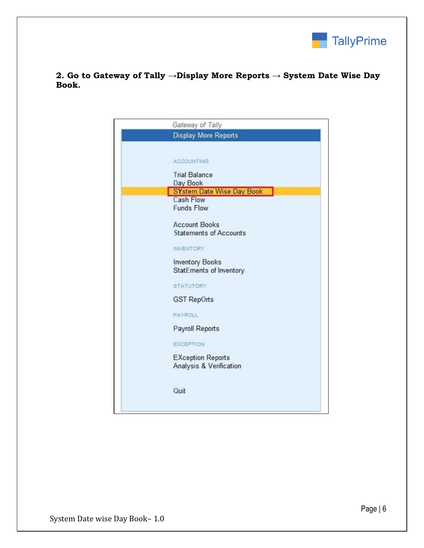

### **2. Go to Gateway of Tally →Display More Reports → System Date Wise Day Book.**

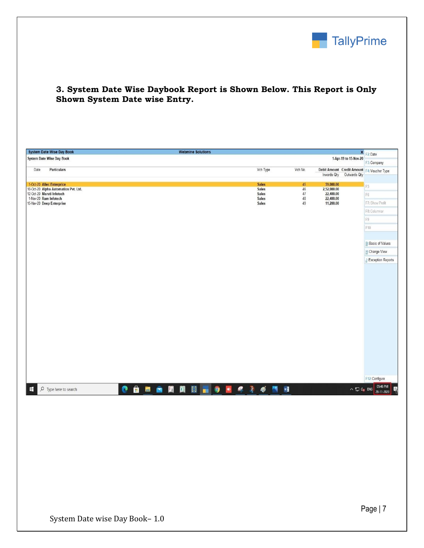

### **3. System Date Wise Daybook Report is Shown Below. This Report is Only Shown System Date wise Entry.**

|                           | <b>System Date Wise Day Book</b>                                                |                            | <b>Webmine Solutions</b> |       |                       |           |                          | $\pmb{\times}$           |                                             |
|---------------------------|---------------------------------------------------------------------------------|----------------------------|--------------------------|-------|-----------------------|-----------|--------------------------|--------------------------|---------------------------------------------|
|                           | System Date Wise Day Book                                                       |                            |                          |       | 1-Apr-19 to 15-Nov-20 | F2:Date   |                          |                          |                                             |
|                           |                                                                                 |                            |                          |       |                       |           |                          |                          | F3: Company                                 |
| Date                      | Particulars                                                                     |                            |                          |       | Vch Type              | Vch No.   |                          | Inwards Qty Outwards Qty | Debit Amount Credit Amount F4: Voucher Type |
|                           |                                                                                 |                            |                          |       | <b>Sales</b>          | 45        |                          |                          |                                             |
| 1-Oct-20 Allec Enterprice | 10-Oct-20 Alpha Automation Pvt. Ltd.                                            |                            |                          |       | <b>Sales</b>          | 46        | 59,000.00<br>2,52,000.00 |                          | F <sub>5</sub>                              |
|                           | 12-Oct-20 Maruti Infotech<br>1-Nov-20 Ram Infotech<br>15-Nov-20 Deep Enterprise |                            |                          |       | <b>Sales</b><br>Sales | 47<br>48  | 22,400.00<br>22,400.00   |                          | F <sub>6</sub>                              |
|                           |                                                                                 |                            |                          | Sales | 49                    | 11,200.00 |                          | F7: Show Profit          |                                             |
|                           |                                                                                 |                            |                          |       |                       |           |                          |                          | F8: Columnar                                |
|                           |                                                                                 |                            |                          |       |                       |           |                          |                          | $\mathbb{F}9$                               |
|                           |                                                                                 |                            |                          |       |                       |           |                          |                          | F10                                         |
|                           |                                                                                 |                            |                          |       |                       |           |                          |                          |                                             |
|                           |                                                                                 |                            |                          |       |                       |           |                          |                          | <b>B:</b> Basis of Values                   |
|                           |                                                                                 |                            |                          |       |                       |           |                          |                          | H: Change View                              |
|                           |                                                                                 |                            |                          |       |                       |           |                          |                          | <b>J:</b> Exception Reports                 |
|                           |                                                                                 |                            |                          |       |                       |           |                          |                          |                                             |
|                           |                                                                                 |                            |                          |       |                       |           |                          |                          |                                             |
|                           |                                                                                 |                            |                          |       |                       |           |                          |                          |                                             |
|                           |                                                                                 |                            |                          |       |                       |           |                          |                          |                                             |
|                           |                                                                                 |                            |                          |       |                       |           |                          |                          |                                             |
|                           |                                                                                 |                            |                          |       |                       |           |                          |                          |                                             |
|                           |                                                                                 |                            |                          |       |                       |           |                          |                          |                                             |
|                           |                                                                                 |                            |                          |       |                       |           |                          |                          |                                             |
|                           |                                                                                 |                            |                          |       |                       |           |                          |                          |                                             |
|                           |                                                                                 |                            |                          |       |                       |           |                          |                          |                                             |
|                           |                                                                                 |                            |                          |       |                       |           |                          |                          |                                             |
|                           |                                                                                 |                            |                          |       |                       |           |                          |                          |                                             |
|                           |                                                                                 |                            |                          |       |                       |           |                          |                          |                                             |
|                           |                                                                                 |                            |                          |       |                       |           |                          |                          |                                             |
|                           |                                                                                 |                            |                          |       |                       |           |                          |                          | F12: Configure                              |
| H                         | $\mathcal{P}$ Type here to search                                               | <b>C 自由合用图 2 - 9 - 4 2</b> |                          |       | ø<br>W<br>譻           |           |                          | ∧ 口 q <sub>s</sub> ENG   | 05:46 PM<br>Ŗ<br>28-11-2020                 |
|                           |                                                                                 |                            |                          |       |                       |           |                          |                          |                                             |
|                           |                                                                                 |                            |                          |       |                       |           |                          |                          |                                             |
|                           |                                                                                 |                            |                          |       |                       |           |                          |                          |                                             |
|                           |                                                                                 |                            |                          |       |                       |           |                          |                          |                                             |
|                           |                                                                                 |                            |                          |       |                       |           |                          |                          |                                             |
|                           |                                                                                 |                            |                          |       |                       |           |                          |                          |                                             |
|                           |                                                                                 |                            |                          |       |                       |           |                          |                          |                                             |
|                           |                                                                                 |                            |                          |       |                       |           |                          |                          |                                             |
|                           |                                                                                 |                            |                          |       |                       |           |                          |                          |                                             |
|                           |                                                                                 |                            |                          |       |                       |           |                          |                          |                                             |
|                           |                                                                                 |                            |                          |       |                       |           |                          |                          |                                             |
|                           |                                                                                 |                            |                          |       |                       |           |                          |                          |                                             |
|                           |                                                                                 |                            |                          |       |                       |           |                          |                          |                                             |
|                           |                                                                                 |                            |                          |       |                       |           |                          |                          |                                             |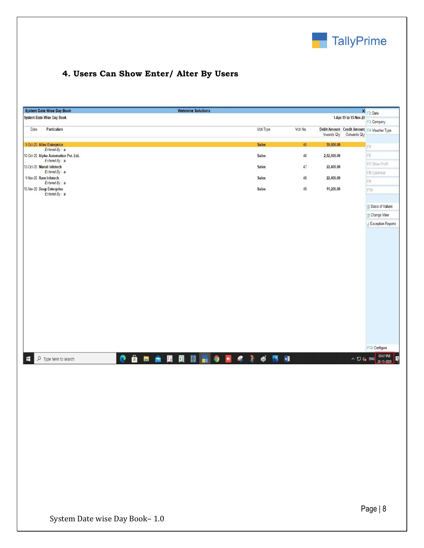

# **4. Users Can Show Enter/ Alter By Users**

| System Date Wise Day Book                             | <b>Webmine Solutions</b> |              |         |             |                           | × F2:Date                                        |
|-------------------------------------------------------|--------------------------|--------------|---------|-------------|---------------------------|--------------------------------------------------|
| System Date Wise Day Book                             |                          |              |         |             | 1-Apr-19 to 15-Nov-20     | F3: Company                                      |
| Particulars<br>Date                                   |                          | Vch Type     | Vch No. |             | Inwards Qty  Outwards Qty | Debit Amount Credit Amount F4: Voucher Type      |
| 1-Oct-20 Allec Enterprice                             |                          | <b>Sales</b> | 45      | 59,000.00   |                           |                                                  |
| Entered By: a                                         |                          |              |         |             |                           | F <sub>5</sub>                                   |
| 10-Oct-20 Alpha Automation Pvt. Ltd.<br>Entered By: a |                          | Sales        | $46\,$  | 2,52,000.00 |                           | F6                                               |
| 12-Oct-20 Maruti Infotech                             |                          | Sales        | $47\,$  | 22,400.00   |                           | F7: Show Profit                                  |
| Entered By: a<br>1-Nov-20 Ram Infotech                |                          | Sales        | $48\,$  | 22,400.00   |                           | F8: Columnar                                     |
| Entered By: a                                         |                          |              |         |             |                           | F9                                               |
| 15-Nov-20 Deep Enterprise<br>Entered By: a            |                          | Sales        | 49      | 11,200.00   |                           | F10                                              |
|                                                       |                          |              |         |             |                           |                                                  |
|                                                       |                          |              |         |             |                           | <b>B:</b> Basis of Values                        |
|                                                       |                          |              |         |             |                           | H: Change View                                   |
|                                                       |                          |              |         |             |                           | J: Exception Reports                             |
|                                                       |                          |              |         |             |                           |                                                  |
|                                                       |                          |              |         |             |                           |                                                  |
|                                                       |                          |              |         |             |                           |                                                  |
|                                                       |                          |              |         |             |                           |                                                  |
|                                                       |                          |              |         |             |                           |                                                  |
|                                                       |                          |              |         |             |                           |                                                  |
|                                                       |                          |              |         |             |                           |                                                  |
|                                                       |                          |              |         |             |                           |                                                  |
|                                                       |                          |              |         |             |                           |                                                  |
|                                                       |                          |              |         |             |                           |                                                  |
|                                                       |                          |              |         |             |                           |                                                  |
|                                                       |                          |              |         |             |                           |                                                  |
|                                                       |                          |              |         |             |                           |                                                  |
|                                                       |                          |              |         |             |                           |                                                  |
|                                                       |                          |              |         |             |                           | F12: Configure                                   |
| $\rho$ Type here to search<br>H                       | ● 自由全国国日 ■ 9 ■ 冬 2 が 四 日 |              |         |             |                           | △ □ 4× ENG $\frac{05:47 \text{ PM}}{28-11-2020}$ |
|                                                       |                          |              |         |             |                           |                                                  |
|                                                       |                          |              |         |             |                           |                                                  |
|                                                       |                          |              |         |             |                           |                                                  |
|                                                       |                          |              |         |             |                           |                                                  |
|                                                       |                          |              |         |             |                           |                                                  |
|                                                       |                          |              |         |             |                           |                                                  |
|                                                       |                          |              |         |             |                           |                                                  |
|                                                       |                          |              |         |             |                           |                                                  |
|                                                       |                          |              |         |             |                           |                                                  |
|                                                       |                          |              |         |             |                           |                                                  |
|                                                       |                          |              |         |             |                           |                                                  |
|                                                       |                          |              |         |             |                           |                                                  |
|                                                       |                          |              |         |             |                           |                                                  |
|                                                       |                          |              |         |             |                           |                                                  |
|                                                       |                          |              |         |             |                           |                                                  |
|                                                       |                          |              |         |             |                           |                                                  |
|                                                       |                          |              |         |             |                           |                                                  |
|                                                       |                          |              |         |             |                           |                                                  |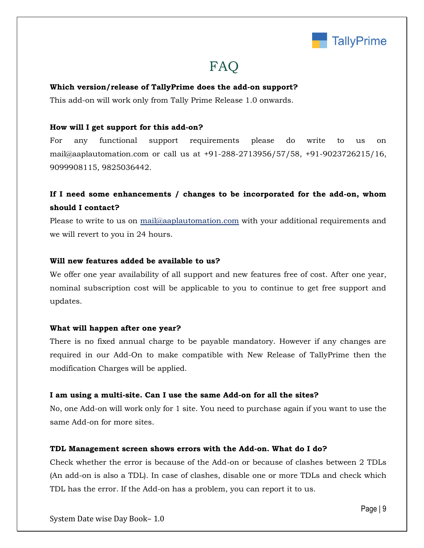

# **FAQ**

#### **Which version/release of TallyPrime does the add-on support?**

This add-on will work only from Tally Prime Release 1.0 onwards.

#### **How will I get support for this add-on?**

For any functional support requirements please do write to us on mail@aaplautomation.com or call us at +91-288-2713956/57/58, +91-9023726215/16, 9099908115, 9825036442.

## **If I need some enhancements / changes to be incorporated for the add-on, whom should I contact?**

Please to write to us on mail@aaplautomation.com with your additional requirements and we will revert to you in 24 hours.

#### **Will new features added be available to us?**

We offer one year availability of all support and new features free of cost. After one year, nominal subscription cost will be applicable to you to continue to get free support and updates.

#### **What will happen after one year?**

There is no fixed annual charge to be payable mandatory. However if any changes are required in our Add-On to make compatible with New Release of TallyPrime then the modification Charges will be applied.

#### **I am using a multi-site. Can I use the same Add-on for all the sites?**

No, one Add-on will work only for 1 site. You need to purchase again if you want to use the same Add-on for more sites.

#### **TDL Management screen shows errors with the Add-on. What do I do?**

Check whether the error is because of the Add-on or because of clashes between 2 TDLs (An add-on is also a TDL). In case of clashes, disable one or more TDLs and check which TDL has the error. If the Add-on has a problem, you can report it to us.